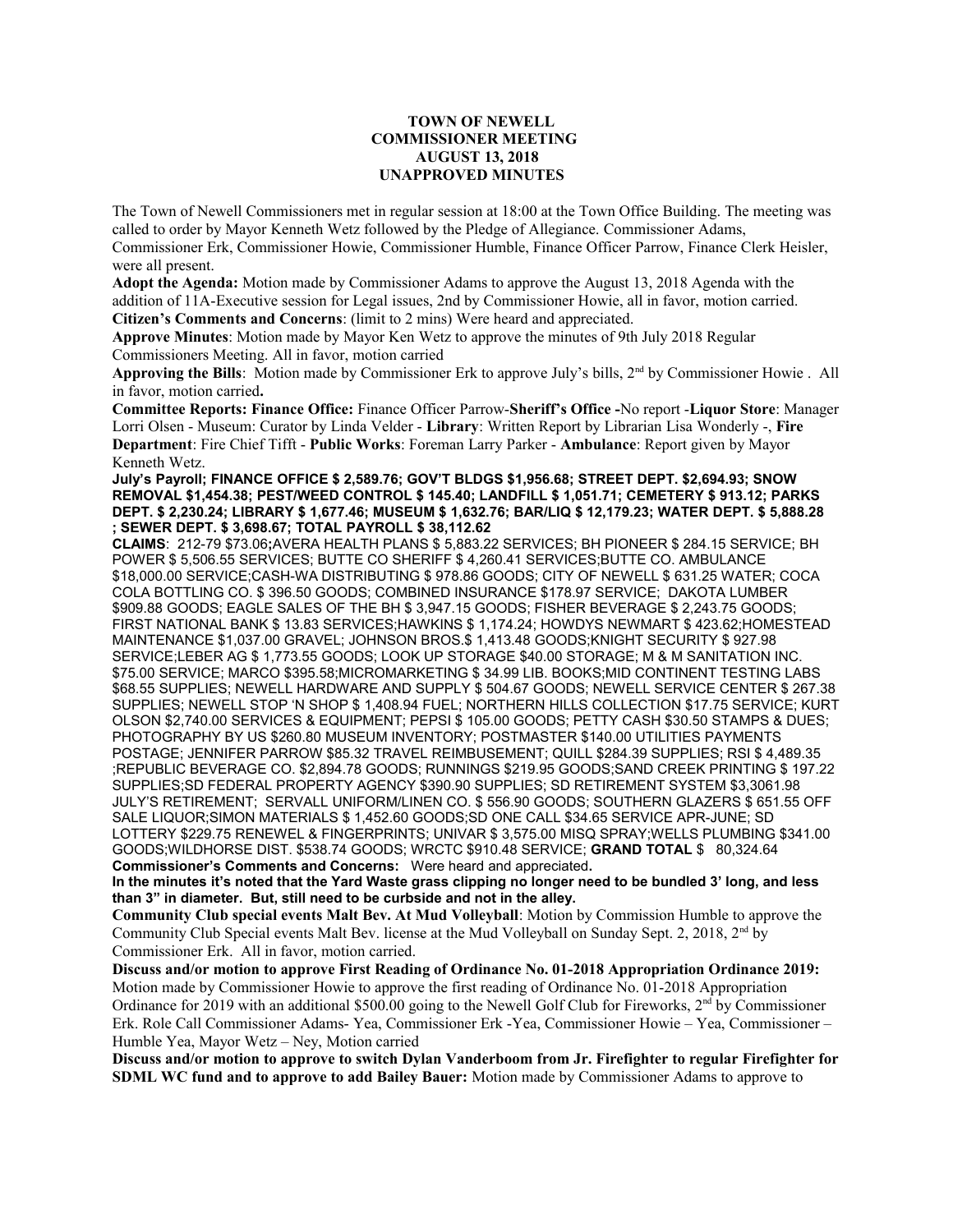## **TOWN OF NEWELL COMMISSIONER MEETING AUGUST 13, 2018 UNAPPROVED MINUTES**

The Town of Newell Commissioners met in regular session at 18:00 at the Town Office Building. The meeting was called to order by Mayor Kenneth Wetz followed by the Pledge of Allegiance. Commissioner Adams, Commissioner Erk, Commissioner Howie, Commissioner Humble, Finance Officer Parrow, Finance Clerk Heisler, were all present.

**Adopt the Agenda:** Motion made by Commissioner Adams to approve the August 13, 2018 Agenda with the addition of 11A-Executive session for Legal issues, 2nd by Commissioner Howie, all in favor, motion carried. **Citizen's Comments and Concerns**: (limit to 2 mins) Were heard and appreciated.

**Approve Minutes**: Motion made by Mayor Ken Wetz to approve the minutes of 9th July 2018 Regular Commissioners Meeting. All in favor, motion carried

**Approving the Bills**: Motion made by Commissioner Erk to approve July's bills, 2nd by Commissioner Howie .All in favor, motion carried**.**

**Committee Reports: Finance Office:** Finance Officer Parrow-**Sheriff's Office -**No report -**Liquor Store**: Manager Lorri Olsen - Museum: Curator by Linda Velder - **Library**: Written Report by Librarian Lisa Wonderly -, **Fire Department**: Fire Chief Tifft - **Public Works**: Foreman Larry Parker - **Ambulance**: Report given by Mayor Kenneth Wetz.

**July's Payroll; FINANCE OFFICE \$ 2,589.76; GOV'T BLDGS \$1,956.68; STREET DEPT. \$2,694.93; SNOW REMOVAL \$1,454.38; PEST/WEED CONTROL \$ 145.40; LANDFILL \$ 1,051.71; CEMETERY \$ 913.12; PARKS DEPT. \$ 2,230.24; LIBRARY \$ 1,677.46; MUSEUM \$ 1,632.76; BAR/LIQ \$ 12,179.23; WATER DEPT. \$ 5,888.28 ; SEWER DEPT. \$ 3,698.67; TOTAL PAYROLL \$ 38,112.62**

**CLAIMS**: 212-79 \$73.06**;**AVERA HEALTH PLANS \$ 5,883.22 SERVICES; BH PIONEER \$ 284.15 SERVICE; BH POWER \$ 5,506.55 SERVICES; BUTTE CO SHERIFF \$ 4,260.41 SERVICES;BUTTE CO. AMBULANCE \$18,000.00 SERVICE;CASH-WA DISTRIBUTING \$ 978.86 GOODS; CITY OF NEWELL \$ 631.25 WATER; COCA COLA BOTTLING CO. \$ 396.50 GOODS; COMBINED INSURANCE \$178.97 SERVICE; DAKOTA LUMBER \$909.88 GOODS; EAGLE SALES OF THE BH \$ 3,947.15 GOODS; FISHER BEVERAGE \$ 2,243.75 GOODS; FIRST NATIONAL BANK \$ 13.83 SERVICES;HAWKINS \$ 1,174.24; HOWDYS NEWMART \$ 423.62;HOMESTEAD MAINTENANCE \$1,037.00 GRAVEL; JOHNSON BROS.\$ 1,413.48 GOODS;KNIGHT SECURITY \$ 927.98 SERVICE;LEBER AG \$ 1,773.55 GOODS; LOOK UP STORAGE \$40.00 STORAGE; M & M SANITATION INC. \$75.00 SERVICE; MARCO \$395.58;MICROMARKETING \$ 34.99 LIB. BOOKS;MID CONTINENT TESTING LABS \$68.55 SUPPLIES; NEWELL HARDWARE AND SUPPLY \$ 504.67 GOODS; NEWELL SERVICE CENTER \$ 267.38 SUPPLIES; NEWELL STOP 'N SHOP \$ 1,408.94 FUEL; NORTHERN HILLS COLLECTION \$17.75 SERVICE; KURT OLSON \$2,740.00 SERVICES & EQUIPMENT; PEPSI \$ 105.00 GOODS; PETTY CASH \$30.50 STAMPS & DUES; PHOTOGRAPHY BY US \$260.80 MUSEUM INVENTORY; POSTMASTER \$140.00 UTILITIES PAYMENTS POSTAGE; JENNIFER PARROW \$85.32 TRAVEL REIMBUSEMENT; QUILL \$284.39 SUPPLIES; RSI \$ 4,489.35 ;REPUBLIC BEVERAGE CO. \$2,894.78 GOODS; RUNNINGS \$219.95 GOODS;SAND CREEK PRINTING \$ 197.22 SUPPLIES;SD FEDERAL PROPERTY AGENCY \$390.90 SUPPLIES; SD RETIREMENT SYSTEM \$3,3061.98 JULY'S RETIREMENT; SERVALL UNIFORM/LINEN CO. \$ 556.90 GOODS; SOUTHERN GLAZERS \$ 651.55 OFF SALE LIQUOR;SIMON MATERIALS \$ 1,452.60 GOODS;SD ONE CALL \$34.65 SERVICE APR-JUNE; SD LOTTERY \$229.75 RENEWEL & FINGERPRINTS; UNIVAR \$ 3,575.00 MISQ SPRAY;WELLS PLUMBING \$341.00 GOODS;WILDHORSE DIST. \$538.74 GOODS; WRCTC \$910.48 SERVICE; **GRAND TOTAL** \$ 80,324.64 **Commissioner's Comments and Concerns:** Were heard and appreciated**.** 

**In the minutes it's noted that the Yard Waste grass clipping no longer need to be bundled 3' long, and less than 3" in diameter. But, still need to be curbside and not in the alley.** 

**Community Club special events Malt Bev. At Mud Volleyball**: Motion by Commission Humble to approve the Community Club Special events Malt Bev. license at the Mud Volleyball on Sunday Sept. 2, 2018, 2nd by Commissioner Erk. All in favor, motion carried.

**Discuss and/or motion to approve First Reading of Ordinance No. 01-2018 Appropriation Ordinance 2019:**  Motion made by Commissioner Howie to approve the first reading of Ordinance No. 01-2018 Appropriation Ordinance for 2019 with an additional \$500.00 going to the Newell Golf Club for Fireworks, 2nd by Commissioner Erk. Role Call Commissioner Adams- Yea, Commissioner Erk -Yea, Commissioner Howie – Yea, Commissioner – Humble Yea, Mayor Wetz – Ney, Motion carried

**Discuss and/or motion to approve to switch Dylan Vanderboom from Jr. Firefighter to regular Firefighter for SDML WC fund and to approve to add Bailey Bauer:** Motion made by Commissioner Adams to approve to